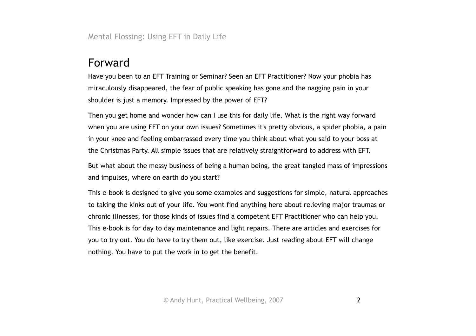Mental Flossing: Using EFT in Daily Life

# Forward

Have you been to an EFT Training or Seminar? Seen an EFT Practitioner? Now your phobia has miraculously disappeared, the fear of public speaking has gone and the nagging pain in your shoulder is just a memory. Impressed by the power of EFT?

Then you get home and wonder how can I use this for daily life. What is the right way forward when you are using EFT on your own issues? Sometimes it's pretty obvious, a spider phobia, a pain in your knee and feeling embarrassed every time you think about what you said to your boss at the Christmas Party. All simple issues that are relatively straightforward to address with EFT.

But what about the messy business of being a human being, the great tangled mass of impressions and impulses, where on earth do you start?

This e-book is designed to give you some examples and suggestions for simple, natural approaches to taking the kinks out of your life. You wont find anything here about relieving major traumas or chronic illnesses, for those kinds of issues find a competent EFT Practitioner who can help you. This e-book is for day to day maintenance and light repairs. There are articles and exercises for you to try out. You do have to try them out, like exercise. Just reading about EFT will change nothing. You have to put the work in to get the benefit.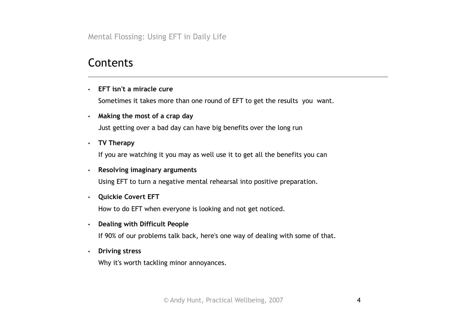Mental Flossing: Using EFT in Daily Life

## **Contents**

• **EFT isn't a miracle cure**

Sometimes it takes more than one round of EFT to get the results you want.

• **Making the most of a crap day**

Just getting over a bad day can have big benefits over the long run

• **TV Therapy**

If you are watching it you may as well use it to get all the benefits you can

#### • **Resolving imaginary arguments**

Using EFT to turn a negative mental rehearsal into positive preparation.

• **Quickie Covert EFT**

How to do EFT when everyone is looking and not get noticed.

### • **Dealing with Difficult People**

If 90% of our problems talk back, here's one way of dealing with some of that.

• **Driving stress**

Why it's worth tackling minor annoyances.